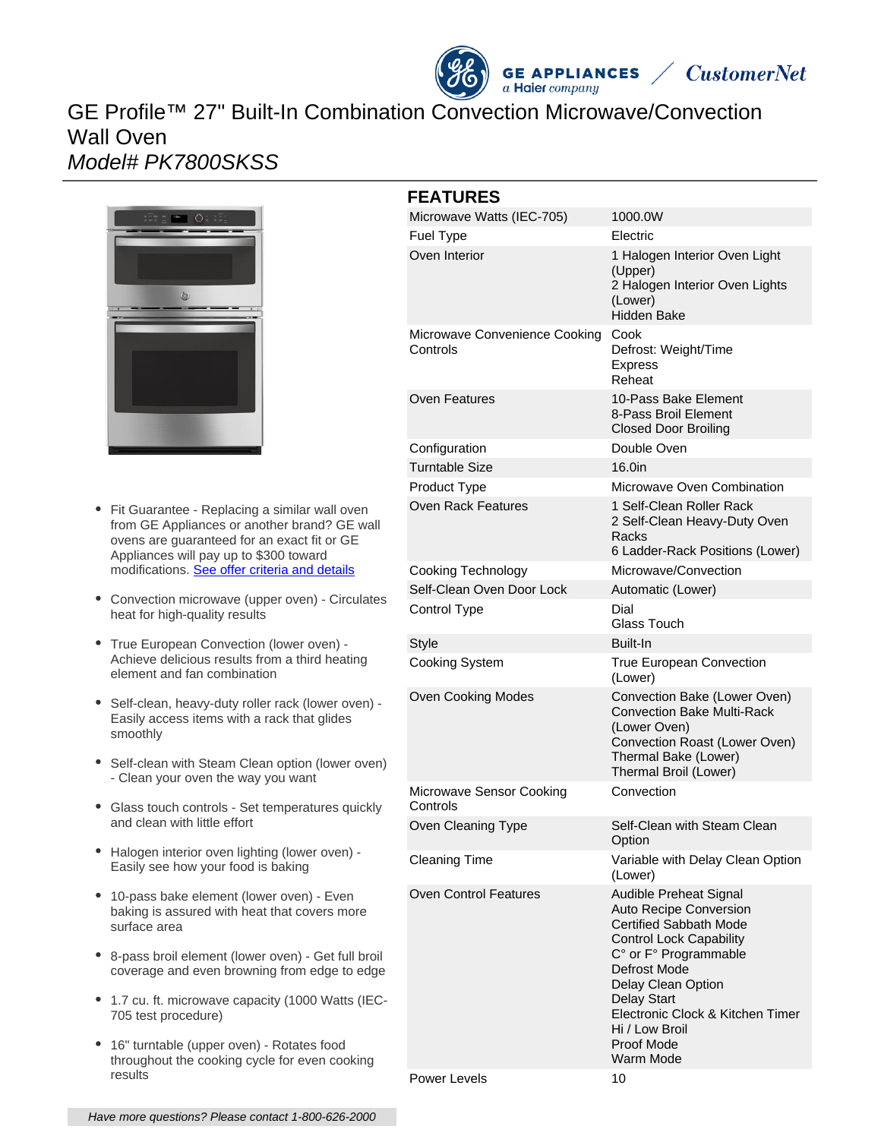

# GE Profile™ 27" Built-In Combination Convection Microwave/Convection Wall Oven Model# PK7800SKSS



- Fit Guarantee Replacing a similar wall oven from GE Appliances or another brand? GE wall ovens are guaranteed for an exact fit or GE Appliances will pay up to \$300 toward modifications. [See offer criteria and details](http://www.geappliances.com/ge-fits)
- Convection microwave (upper oven) Circulates heat for high-quality results
- True European Convection (lower oven) Achieve delicious results from a third heating element and fan combination
- Self-clean, heavy-duty roller rack (lower oven) Easily access items with a rack that glides smoothly
- Self-clean with Steam Clean option (lower oven) - Clean your oven the way you want
- Glass touch controls Set temperatures quickly and clean with little effort
- Halogen interior oven lighting (lower oven) Easily see how your food is baking
- 10-pass bake element (lower oven) Even baking is assured with heat that covers more surface area
- 8-pass broil element (lower oven) Get full broil coverage and even browning from edge to edge
- 1.7 cu. ft. microwave capacity (1000 Watts (IEC-705 test procedure)
- $\bullet$ 16" turntable (upper oven) - Rotates food throughout the cooking cycle for even cooking results

| <b>FEATURES</b> |                                           |                                                                                                                                                                                                                                                                                           |
|-----------------|-------------------------------------------|-------------------------------------------------------------------------------------------------------------------------------------------------------------------------------------------------------------------------------------------------------------------------------------------|
|                 | Microwave Watts (IEC-705)                 | 1000.0W                                                                                                                                                                                                                                                                                   |
|                 | <b>Fuel Type</b>                          | Electric                                                                                                                                                                                                                                                                                  |
|                 | Oven Interior                             | 1 Halogen Interior Oven Light<br>(Upper)<br>2 Halogen Interior Oven Lights<br>(Lower)<br><b>Hidden Bake</b>                                                                                                                                                                               |
|                 | Microwave Convenience Cooking<br>Controls | Cook<br>Defrost: Weight/Time<br><b>Express</b><br>Reheat                                                                                                                                                                                                                                  |
|                 | Oven Features                             | 10-Pass Bake Element<br>8-Pass Broil Element<br><b>Closed Door Broiling</b>                                                                                                                                                                                                               |
|                 | Configuration                             | Double Oven                                                                                                                                                                                                                                                                               |
|                 | <b>Turntable Size</b>                     | 16.0 <sub>in</sub>                                                                                                                                                                                                                                                                        |
|                 | Product Type                              | Microwave Oven Combination                                                                                                                                                                                                                                                                |
|                 | Oven Rack Features                        | 1 Self-Clean Roller Rack<br>2 Self-Clean Heavy-Duty Oven<br>Racks<br>6 Ladder-Rack Positions (Lower)                                                                                                                                                                                      |
|                 | Cooking Technology                        | Microwave/Convection                                                                                                                                                                                                                                                                      |
|                 | Self-Clean Oven Door Lock                 | Automatic (Lower)                                                                                                                                                                                                                                                                         |
|                 | Control Type                              | Dial<br>Glass Touch                                                                                                                                                                                                                                                                       |
|                 | <b>Style</b>                              | Built-In                                                                                                                                                                                                                                                                                  |
|                 | Cooking System                            | True European Convection<br>(Lower)                                                                                                                                                                                                                                                       |
|                 | <b>Oven Cooking Modes</b>                 | Convection Bake (Lower Oven)<br><b>Convection Bake Multi-Rack</b><br>(Lower Oven)<br>Convection Roast (Lower Oven)<br>Thermal Bake (Lower)<br>Thermal Broil (Lower)                                                                                                                       |
|                 | Microwave Sensor Cooking<br>Controls      | Convection                                                                                                                                                                                                                                                                                |
|                 | Oven Cleaning Type                        | Self-Clean with Steam Clean<br>Option                                                                                                                                                                                                                                                     |
|                 | <b>Cleaning Time</b>                      | Variable with Delay Clean Option<br>(Lower)                                                                                                                                                                                                                                               |
|                 | <b>Oven Control Features</b>              | Audible Preheat Signal<br>Auto Recipe Conversion<br><b>Certified Sabbath Mode</b><br><b>Control Lock Capability</b><br>C° or F° Programmable<br>Defrost Mode<br>Delay Clean Option<br><b>Delay Start</b><br>Electronic Clock & Kitchen Timer<br>Hi / Low Broil<br>Proof Mode<br>Warm Mode |

Power Levels 10